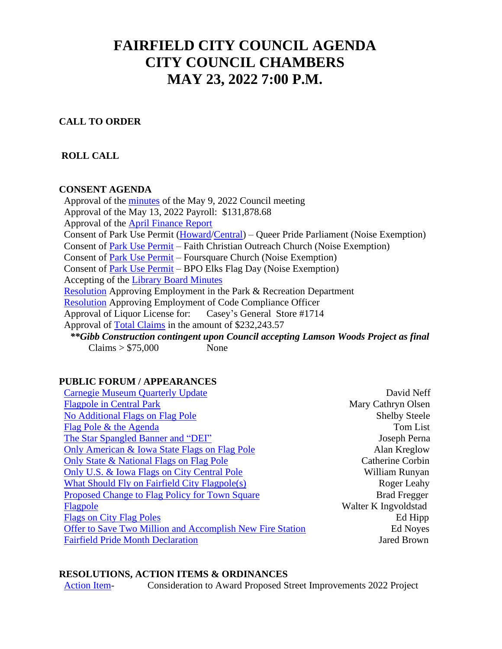# **FAIRFIELD CITY COUNCIL AGENDA CITY COUNCIL CHAMBERS MAY 23, 2022 7:00 P.M.**

#### **CALL TO ORDER**

#### **ROLL CALL**

#### **CONSENT AGENDA**

 Approval of the [minutes](https://ia-fairfield.civicplus.com/DocumentCenter/View/8571/050922-Min) of the May 9, 2022 Council meeting Approval of the May 13, 2022 Payroll: \$131,878.68 Approval of the [April Finance Report](https://www.cityoffairfieldiowa.com/DocumentCenter/View/8604/RG-MTD-COUNCIL-TREAS-RPT---5252) Consent of Park Use Permit [\(Howard/](https://ia-fairfield.civicplus.com/DocumentCenter/View/8572/Park-Use---Howard---Queer-Pride)[Central\)](https://ia-fairfield.civicplus.com/DocumentCenter/View/8573/Park-Use---Central---Queer-Pride) – Queer Pride Parliament (Noise Exemption) Consent of **Park Use Permit** – Faith Christian Outreach Church (Noise Exemption) Consent of [Park Use Permit](https://ia-fairfield.civicplus.com/DocumentCenter/View/8575/Park-Use---Foursquare) – Foursquare Church (Noise Exemption) Consent of [Park Use Permit](https://ia-fairfield.civicplus.com/DocumentCenter/View/8576/Park-Use---BPO-Elks-Flag-Day) – BPO Elks Flag Day (Noise Exemption) Accepting of the [Library Board Minutes](https://ia-fairfield.civicplus.com/DocumentCenter/View/8577/Library-Board-Packet-5-16-22) [Resolution](https://ia-fairfield.civicplus.com/DocumentCenter/View/8578/Res-Employ---P-R) Approving Employment in the Park & Recreation Department [Resolution](https://ia-fairfield.civicplus.com/DocumentCenter/View/8580/Res-of-Employ---CCO) Approving Employment of Code Compliance Officer Approval of Liquor License for: Casey's General Store #1714 Approval of [Total Claims](https://ia-fairfield.civicplus.com/DocumentCenter/View/8609/AP-Vendor-Open-Item-Report---5268) in the amount of \$232,243.57 *\*\*Gibb Construction contingent upon Council accepting Lamson Woods Project as final*  $Clains > $75,000$  None

#### **PUBLIC FORUM / APPEARANCES**

| <b>Carnegie Museum Quarterly Update</b>                   | David Neff           |
|-----------------------------------------------------------|----------------------|
| <b>Flagpole in Central Park</b>                           | Mary Cathryn Olsen   |
| <b>No Additional Flags on Flag Pole</b>                   | <b>Shelby Steele</b> |
| Flag Pole & the Agenda                                    | Tom List             |
| The Star Spangled Banner and "DEI"                        | Joseph Perna         |
| Only American & Iowa State Flags on Flag Pole             | Alan Kreglow         |
| Only State & National Flags on Flag Pole                  | Catherine Corbin     |
| Only U.S. & Iowa Flags on City Central Pole               | William Runyan       |
| <b>What Should Fly on Fairfield City Flagpole(s)</b>      | Roger Leahy          |
| Proposed Change to Flag Policy for Town Square            | <b>Brad Fregger</b>  |
| Flagpole                                                  | Walter K Ingvoldstad |
| <b>Flags on City Flag Poles</b>                           | Ed Hipp              |
| Offer to Save Two Million and Accomplish New Fire Station | Ed Noyes             |
| <b>Fairfield Pride Month Declaration</b>                  | <b>Jared Brown</b>   |

#### **RESOLUTIONS, ACTION ITEMS & ORDINANCES**

[Action Item-](https://ia-fairfield.civicplus.com/DocumentCenter/View/8595/BIDTAB-FFLD-21-131) Consideration to Award Proposed Street Improvements 2022 Project